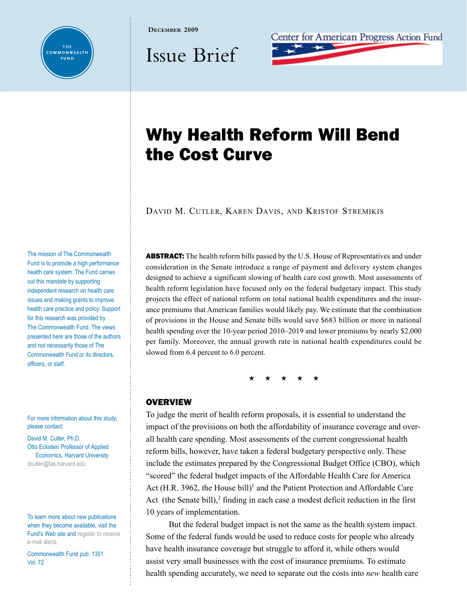

**December 2009**





# Why Health Reform Will Bend the Cost Curve

David M. Cutler, Karen Davis, and Kristof Stremikis

**ABSTRACT:** The health reform bills passed by the U.S. House of Representatives and under consideration in the Senate introduce a range of payment and delivery system changes designed to achieve a significant slowing of health care cost growth. Most assessments of health reform legislation have focused only on the federal budgetary impact. This study projects the effect of national reform on total national health expenditures and the insurance premiums that American families would likely pay. We estimate that the combination of provisions in the House and Senate bills would save \$683 billion or more in national health spending over the 10-year period 2010–2019 and lower premiums by nearly \$2,000 per family. Moreover, the annual growth rate in national health expenditures could be slowed from 6.4 percent to 6.0 percent.

\* \* \* \* \*

# **OVERVIEW**

To judge the merit of health reform proposals, it is essential to understand the impact of the provisions on both the affordability of insurance coverage and overall health care spending. Most assessments of the current congressional health reform bills, however, have taken a federal budgetary perspective only. These include the estimates prepared by the Congressional Budget Office (CBO), which "scored" the federal budget impacts of the Affordable Health Care for America Act (H.R. 3962, the House bill)<sup>1</sup> and the Patient Protection and Affordable Care Act (the Senate bill), $^2$  finding in each case a modest deficit reduction in the first 10 years of implementation.

But the federal budget impact is not the same as the health system impact. Some of the federal funds would be used to reduce costs for people who already have health insurance coverage but struggle to afford it, while others would assist very small businesses with the cost of insurance premiums. To estimate health spending accurately, we need to separate out the costs into *new* health care

The mission of The Commonwealth Fund is to promote a high performance health care system. The Fund carries out this mandate by supporting independent research on health care issues and making grants to improve health care practice and policy. Support for this research was provided by The Commonwealth Fund. The views presented here are those of the authors and not necessarily those of The Commonwealth Fund or its directors, officers, or staff.

For more information about this study, please contact:

David M. Cutler, Ph.D. Otto Eckstein Professor of Applied Economics, Harvard University [dcutler@fas.harvard.edu](mailto:dcutler@fas.harvard.edu)

To learn more about new publications when they become available, visit the Fund's Web site and [register to receive](http://www.commonwealthfund.org/myprofile/myprofile_edit.htm)  [e-mail alerts](http://www.commonwealthfund.org/myprofile/myprofile_edit.htm).

Commonwealth Fund pub. 1351 Vol. 72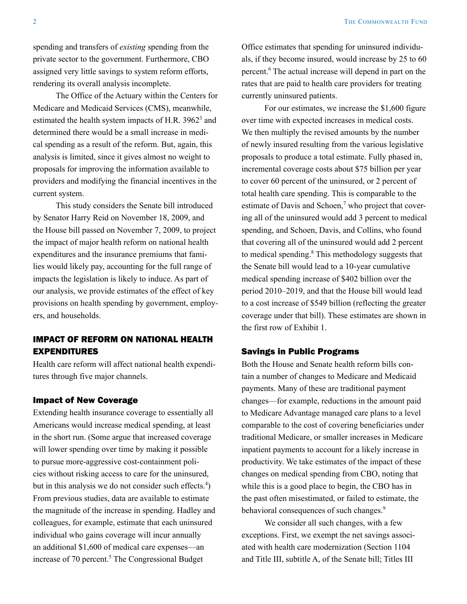spending and transfers of *existing* spending from the private sector to the government. Furthermore, CBO assigned very little savings to system reform efforts, rendering its overall analysis incomplete.

The Office of the Actuary within the Centers for Medicare and Medicaid Services (CMS), meanwhile, estimated the health system impacts of H.R.  $3962^3$  and determined there would be a small increase in medical spending as a result of the reform. But, again, this analysis is limited, since it gives almost no weight to proposals for improving the information available to providers and modifying the financial incentives in the current system.

This study considers the Senate bill introduced by Senator Harry Reid on November 18, 2009, and the House bill passed on November 7, 2009, to project the impact of major health reform on national health expenditures and the insurance premiums that families would likely pay, accounting for the full range of impacts the legislation is likely to induce. As part of our analysis, we provide estimates of the effect of key provisions on health spending by government, employers, and households.

# Impact of Reform on National Health **EXPENDITURES**

Health care reform will affect national health expenditures through five major channels.

# Impact of New Coverage

Extending health insurance coverage to essentially all Americans would increase medical spending, at least in the short run. (Some argue that increased coverage will lower spending over time by making it possible to pursue more-aggressive cost-containment policies without risking access to care for the uninsured, but in this analysis we do not consider such effects.<sup>4</sup>) From previous studies, data are available to estimate the magnitude of the increase in spending. Hadley and colleagues, for example, estimate that each uninsured individual who gains coverage will incur annually an additional \$1,600 of medical care expenses—an increase of 70 percent.<sup>5</sup> The Congressional Budget

Office estimates that spending for uninsured individuals, if they become insured, would increase by 25 to 60 percent.<sup>6</sup> The actual increase will depend in part on the rates that are paid to health care providers for treating currently uninsured patients.

For our estimates, we increase the \$1,600 figure over time with expected increases in medical costs. We then multiply the revised amounts by the number of newly insured resulting from the various legislative proposals to produce a total estimate. Fully phased in, incremental coverage costs about \$75 billion per year to cover 60 percent of the uninsured, or 2 percent of total health care spending. This is comparable to the estimate of Davis and Schoen,<sup>7</sup> who project that covering all of the uninsured would add 3 percent to medical spending, and Schoen, Davis, and Collins, who found that covering all of the uninsured would add 2 percent to medical spending.<sup>8</sup> This methodology suggests that the Senate bill would lead to a 10-year cumulative medical spending increase of \$402 billion over the period 2010–2019, and that the House bill would lead to a cost increase of \$549 billion (reflecting the greater coverage under that bill). These estimates are shown in the first row of Exhibit 1.

# Savings in Public Programs

Both the House and Senate health reform bills contain a number of changes to Medicare and Medicaid payments. Many of these are traditional payment changes—for example, reductions in the amount paid to Medicare Advantage managed care plans to a level comparable to the cost of covering beneficiaries under traditional Medicare, or smaller increases in Medicare inpatient payments to account for a likely increase in productivity. We take estimates of the impact of these changes on medical spending from CBO, noting that while this is a good place to begin, the CBO has in the past often misestimated, or failed to estimate, the behavioral consequences of such changes.<sup>9</sup>

We consider all such changes, with a few exceptions. First, we exempt the net savings associated with health care modernization (Section 1104 and Title III, subtitle A, of the Senate bill; Titles III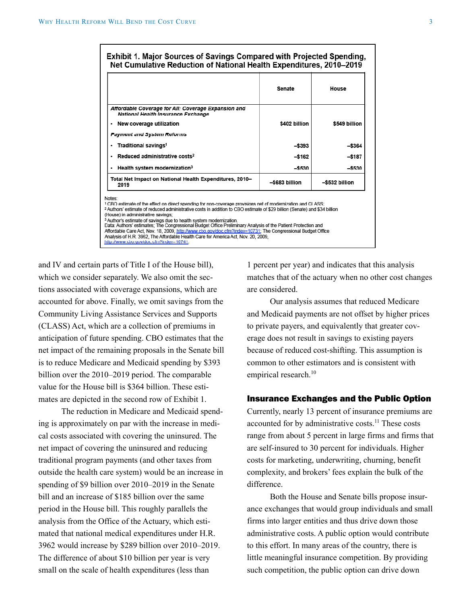## Exhibit 1. Major Sources of Savings Compared with Projected Spending, Net Cumulative Reduction of National Health Expenditures, 2010-2019

|                                                                                           | Senate         |                |
|-------------------------------------------------------------------------------------------|----------------|----------------|
| Affordable Coverage for All: Coverage Expansion and<br>National Health Insurance Exchange |                |                |
| New coverage utilization<br>٠                                                             | \$402 billion  | \$549 billion  |
| <b>Payment and System Reforms</b>                                                         |                |                |
| Traditional savings <sup>1</sup>                                                          | -\$393         | -\$364         |
| Reduced administrative costs <sup>2</sup><br>$\bullet$                                    | -\$162         | -\$187         |
| Health system modernization <sup>3</sup><br>٠                                             | -\$530         | -\$530         |
| Total Net Impact on National Health Expenditures, 2010-<br>2019                           | -\$683 billion | -\$532 billion |

Notes:

1 CBO estimate of the effect on direct spending for non-coverage provisions net of modernization and CLASS; 2 Authors' estimate of reduced administrative costs in addition to CBO estimate of \$29 billion (Senate) and \$34 billion (House) in administrative savings; 3 Author's estimate of savings due to health system modernization. Data: Authors' estimates; The Congressional Budget Office Preliminary Analysis of the Patient Protection and

Affordable Care Act, Nov. 18, 2009, http://www.cbo.gov/doc.cfm?index=10731; The Congressional Budget Office Analysis of H.R. 3962, The Affordable Health Care for America Act, Nov. 20, 2009, http://www.cbo.gov/doc.cfm?index=10741.

and IV and certain parts of Title I of the House bill), which we consider separately. We also omit the sections associated with coverage expansions, which are accounted for above. Finally, we omit savings from the Community Living Assistance Services and Supports (CLASS) Act, which are a collection of premiums in anticipation of future spending. CBO estimates that the net impact of the remaining proposals in the Senate bill is to reduce Medicare and Medicaid spending by \$393 billion over the 2010–2019 period. The comparable value for the House bill is \$364 billion. These estimates are depicted in the second row of Exhibit 1.

The reduction in Medicare and Medicaid spending is approximately on par with the increase in medical costs associated with covering the uninsured. The net impact of covering the uninsured and reducing traditional program payments (and other taxes from outside the health care system) would be an increase in spending of \$9 billion over 2010–2019 in the Senate bill and an increase of \$185 billion over the same period in the House bill. This roughly parallels the analysis from the Office of the Actuary, which estimated that national medical expenditures under H.R. 3962 would increase by \$289 billion over 2010–2019. The difference of about \$10 billion per year is very small on the scale of health expenditures (less than

1 percent per year) and indicates that this analysis matches that of the actuary when no other cost changes are considered.

Our analysis assumes that reduced Medicare and Medicaid payments are not offset by higher prices to private payers, and equivalently that greater coverage does not result in savings to existing payers because of reduced cost-shifting. This assumption is common to other estimators and is consistent with empirical research.<sup>10</sup>

# Insurance Exchanges and the Public Option

Currently, nearly 13 percent of insurance premiums are accounted for by administrative costs.<sup>11</sup> These costs range from about 5 percent in large firms and firms that are self-insured to 30 percent for individuals. Higher costs for marketing, underwriting, churning, benefit complexity, and brokers' fees explain the bulk of the difference.

Both the House and Senate bills propose insurance exchanges that would group individuals and small firms into larger entities and thus drive down those administrative costs. A public option would contribute to this effort. In many areas of the country, there is little meaningful insurance competition. By providing such competition, the public option can drive down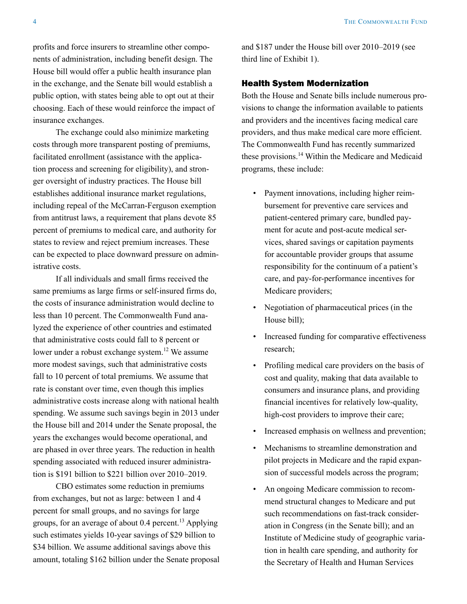profits and force insurers to streamline other components of administration, including benefit design. The House bill would offer a public health insurance plan in the exchange, and the Senate bill would establish a public option, with states being able to opt out at their choosing. Each of these would reinforce the impact of insurance exchanges.

The exchange could also minimize marketing costs through more transparent posting of premiums, facilitated enrollment (assistance with the application process and screening for eligibility), and stronger oversight of industry practices. The House bill establishes additional insurance market regulations, including repeal of the McCarran-Ferguson exemption from antitrust laws, a requirement that plans devote 85 percent of premiums to medical care, and authority for states to review and reject premium increases. These can be expected to place downward pressure on administrative costs.

If all individuals and small firms received the same premiums as large firms or self-insured firms do, the costs of insurance administration would decline to less than 10 percent. The Commonwealth Fund analyzed the experience of other countries and estimated that administrative costs could fall to 8 percent or lower under a robust exchange system.<sup>12</sup> We assume more modest savings, such that administrative costs fall to 10 percent of total premiums. We assume that rate is constant over time, even though this implies administrative costs increase along with national health spending. We assume such savings begin in 2013 under the House bill and 2014 under the Senate proposal, the years the exchanges would become operational, and are phased in over three years. The reduction in health spending associated with reduced insurer administration is \$191 billion to \$221 billion over 2010–2019.

CBO estimates some reduction in premiums from exchanges, but not as large: between 1 and 4 percent for small groups, and no savings for large groups, for an average of about 0.4 percent.<sup>13</sup> Applying such estimates yields 10-year savings of \$29 billion to \$34 billion. We assume additional savings above this amount, totaling \$162 billion under the Senate proposal and \$187 under the House bill over 2010–2019 (see third line of Exhibit 1).

# Health System Modernization

Both the House and Senate bills include numerous provisions to change the information available to patients and providers and the incentives facing medical care providers, and thus make medical care more efficient. The Commonwealth Fund has recently summarized these provisions.14 Within the Medicare and Medicaid programs, these include:

- Payment innovations, including higher reimbursement for preventive care services and patient-centered primary care, bundled payment for acute and post-acute medical services, shared savings or capitation payments for accountable provider groups that assume responsibility for the continuum of a patient's care, and pay-for-performance incentives for Medicare providers;
- Negotiation of pharmaceutical prices (in the House bill);
- Increased funding for comparative effectiveness research;
- Profiling medical care providers on the basis of cost and quality, making that data available to consumers and insurance plans, and providing financial incentives for relatively low-quality, high-cost providers to improve their care;
- Increased emphasis on wellness and prevention;
- • Mechanisms to streamline demonstration and pilot projects in Medicare and the rapid expansion of successful models across the program;
- An ongoing Medicare commission to recommend structural changes to Medicare and put such recommendations on fast-track consideration in Congress (in the Senate bill); and an Institute of Medicine study of geographic variation in health care spending, and authority for the Secretary of Health and Human Services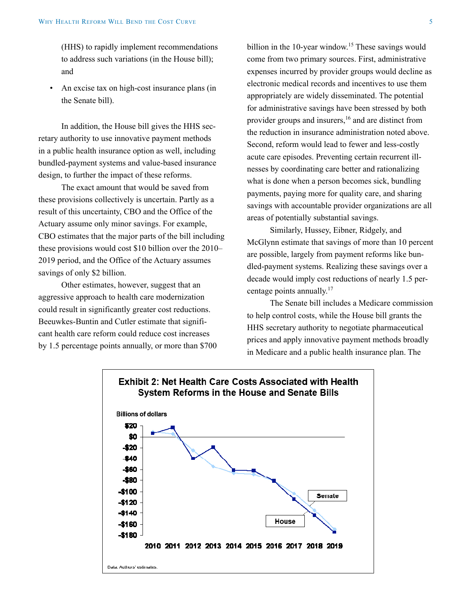(HHS) to rapidly implement recommendations to address such variations (in the House bill); and

An excise tax on high-cost insurance plans (in the Senate bill).

In addition, the House bill gives the HHS secretary authority to use innovative payment methods in a public health insurance option as well, including bundled-payment systems and value-based insurance design, to further the impact of these reforms.

The exact amount that would be saved from these provisions collectively is uncertain. Partly as a result of this uncertainty, CBO and the Office of the Actuary assume only minor savings. For example, CBO estimates that the major parts of the bill including these provisions would cost \$10 billion over the 2010– 2019 period, and the Office of the Actuary assumes savings of only \$2 billion.

Other estimates, however, suggest that an aggressive approach to health care modernization could result in significantly greater cost reductions. Beeuwkes-Buntin and Cutler estimate that significant health care reform could reduce cost increases by 1.5 percentage points annually, or more than \$700 billion in the  $10$ -year window.<sup>15</sup> These savings would come from two primary sources. First, administrative expenses incurred by provider groups would decline as electronic medical records and incentives to use them appropriately are widely disseminated. The potential for administrative savings have been stressed by both provider groups and insurers,<sup>16</sup> and are distinct from the reduction in insurance administration noted above. Second, reform would lead to fewer and less-costly acute care episodes. Preventing certain recurrent illnesses by coordinating care better and rationalizing what is done when a person becomes sick, bundling payments, paying more for quality care, and sharing savings with accountable provider organizations are all areas of potentially substantial savings.

Similarly, Hussey, Eibner, Ridgely, and McGlynn estimate that savings of more than 10 percent are possible, largely from payment reforms like bundled-payment systems. Realizing these savings over a decade would imply cost reductions of nearly 1.5 percentage points annually.<sup>17</sup>

The Senate bill includes a Medicare commission to help control costs, while the House bill grants the HHS secretary authority to negotiate pharmaceutical prices and apply innovative payment methods broadly in Medicare and a public health insurance plan. The



# **Exhibit 2: Net Health Care Costs Associated with Health**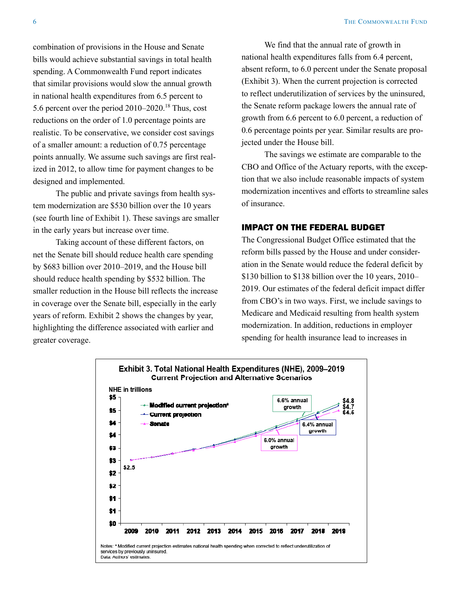combination of provisions in the House and Senate bills would achieve substantial savings in total health spending. A Commonwealth Fund report indicates that similar provisions would slow the annual growth in national health expenditures from 6.5 percent to 5.6 percent over the period  $2010-2020$ .<sup>18</sup> Thus, cost reductions on the order of 1.0 percentage points are realistic. To be conservative, we consider cost savings of a smaller amount: a reduction of 0.75 percentage points annually. We assume such savings are first realized in 2012, to allow time for payment changes to be designed and implemented.

The public and private savings from health system modernization are \$530 billion over the 10 years (see fourth line of Exhibit 1). These savings are smaller in the early years but increase over time.

Taking account of these different factors, on net the Senate bill should reduce health care spending by \$683 billion over 2010–2019, and the House bill should reduce health spending by \$532 billion. The smaller reduction in the House bill reflects the increase in coverage over the Senate bill, especially in the early years of reform. Exhibit 2 shows the changes by year, highlighting the difference associated with earlier and greater coverage.

We find that the annual rate of growth in national health expenditures falls from 6.4 percent, absent reform, to 6.0 percent under the Senate proposal (Exhibit 3). When the current projection is corrected to reflect underutilization of services by the uninsured, the Senate reform package lowers the annual rate of growth from 6.6 percent to 6.0 percent, a reduction of 0.6 percentage points per year. Similar results are projected under the House bill.

The savings we estimate are comparable to the CBO and Office of the Actuary reports, with the exception that we also include reasonable impacts of system modernization incentives and efforts to streamline sales of insurance.

# Impact on the Federal Budget

The Congressional Budget Office estimated that the reform bills passed by the House and under consideration in the Senate would reduce the federal deficit by \$130 billion to \$138 billion over the 10 years, 2010– 2019. Our estimates of the federal deficit impact differ from CBO's in two ways. First, we include savings to Medicare and Medicaid resulting from health system modernization. In addition, reductions in employer spending for health insurance lead to increases in

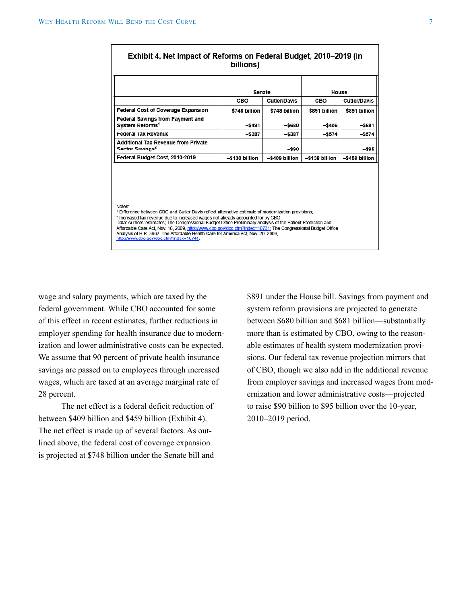|                                                                           |                | Senate              |                | House               |  |
|---------------------------------------------------------------------------|----------------|---------------------|----------------|---------------------|--|
|                                                                           | CBO            | <b>Cutler/Davis</b> | CBO            | <b>Cutler/Davis</b> |  |
| <b>Federal Cost of Coverage Expansion</b>                                 | \$748 billion  | \$748 billion       | \$891 billion  | \$891 billion       |  |
| Federal Savings from Payment and<br>System Reforms <sup>1</sup>           | -\$491         | -\$680              | -\$456         | -\$681              |  |
| <b>Federal Tax Revenue</b>                                                | $-$ \$387      | $-$ \$387           | $-5574$        | $-5574$             |  |
| <b>Additional Tax Revenue from Private</b><br>Sector Savings <sup>2</sup> |                | -\$90               |                | -\$95               |  |
| Federal Budget Cost, 2010-2019                                            | -\$130 billion | -\$409 billion      | -\$138 billion | -\$459 billion      |  |
|                                                                           |                |                     |                |                     |  |

wage and salary payments, which are taxed by the federal government. While CBO accounted for some of this effect in recent estimates, further reductions in employer spending for health insurance due to modernization and lower administrative costs can be expected. We assume that 90 percent of private health insurance savings are passed on to employees through increased wages, which are taxed at an average marginal rate of 28 percent.

The net effect is a federal deficit reduction of between \$409 billion and \$459 billion (Exhibit 4). The net effect is made up of several factors. As outlined above, the federal cost of coverage expansion is projected at \$748 billion under the Senate bill and \$891 under the House bill. Savings from payment and system reform provisions are projected to generate between \$680 billion and \$681 billion—substantially more than is estimated by CBO, owing to the reasonable estimates of health system modernization provisions. Our federal tax revenue projection mirrors that of CBO, though we also add in the additional revenue from employer savings and increased wages from modernization and lower administrative costs—projected to raise \$90 billion to \$95 billion over the 10-year, 2010–2019 period.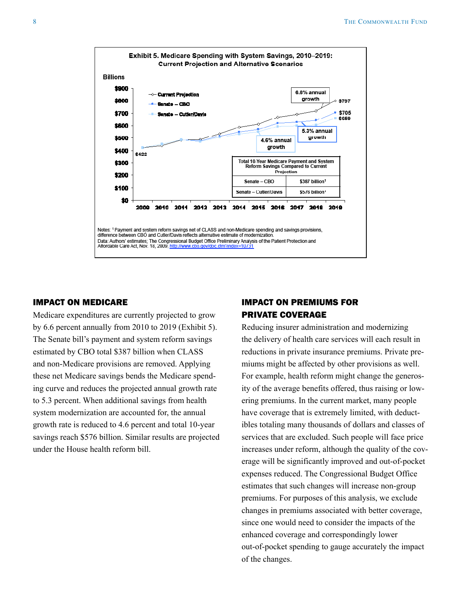

## Impact on Medicare

Medicare expenditures are currently projected to grow by 6.6 percent annually from 2010 to 2019 (Exhibit 5). The Senate bill's payment and system reform savings estimated by CBO total \$387 billion when CLASS and non-Medicare provisions are removed. Applying these net Medicare savings bends the Medicare spending curve and reduces the projected annual growth rate to 5.3 percent. When additional savings from health system modernization are accounted for, the annual growth rate is reduced to 4.6 percent and total 10-year savings reach \$576 billion. Similar results are projected under the House health reform bill.

# Impact on Premiums for Private Coverage

Reducing insurer administration and modernizing the delivery of health care services will each result in reductions in private insurance premiums. Private premiums might be affected by other provisions as well. For example, health reform might change the generosity of the average benefits offered, thus raising or lowering premiums. In the current market, many people have coverage that is extremely limited, with deductibles totaling many thousands of dollars and classes of services that are excluded. Such people will face price increases under reform, although the quality of the coverage will be significantly improved and out-of-pocket expenses reduced. The Congressional Budget Office estimates that such changes will increase non-group premiums. For purposes of this analysis, we exclude changes in premiums associated with better coverage, since one would need to consider the impacts of the enhanced coverage and correspondingly lower out-of-pocket spending to gauge accurately the impact of the changes.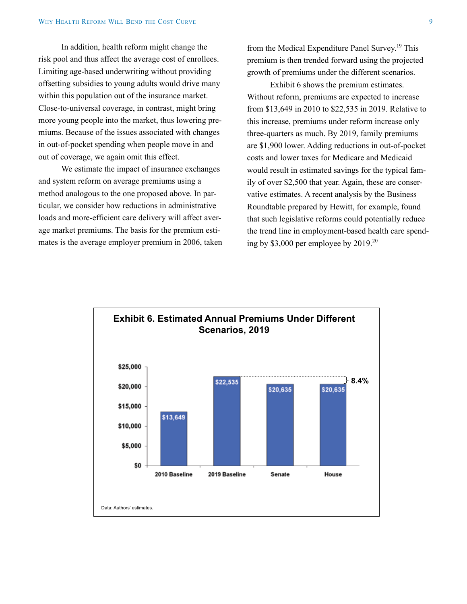In addition, health reform might change the risk pool and thus affect the average cost of enrollees. Limiting age-based underwriting without providing offsetting subsidies to young adults would drive many within this population out of the insurance market. Close-to-universal coverage, in contrast, might bring more young people into the market, thus lowering premiums. Because of the issues associated with changes in out-of-pocket spending when people move in and out of coverage, we again omit this effect.

We estimate the impact of insurance exchanges and system reform on average premiums using a method analogous to the one proposed above. In particular, we consider how reductions in administrative loads and more-efficient care delivery will affect average market premiums. The basis for the premium estimates is the average employer premium in 2006, taken from the Medical Expenditure Panel Survey.19 This premium is then trended forward using the projected growth of premiums under the different scenarios.

Exhibit 6 shows the premium estimates. Without reform, premiums are expected to increase from \$13,649 in 2010 to \$22,535 in 2019. Relative to this increase, premiums under reform increase only three-quarters as much. By 2019, family premiums are \$1,900 lower. Adding reductions in out-of-pocket costs and lower taxes for Medicare and Medicaid would result in estimated savings for the typical family of over \$2,500 that year. Again, these are conservative estimates. A recent analysis by the Business Roundtable prepared by Hewitt, for example, found that such legislative reforms could potentially reduce the trend line in employment-based health care spending by \$3,000 per employee by 2019.20

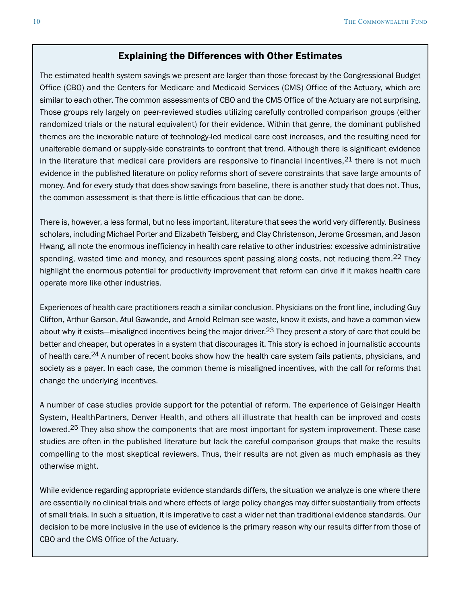# Explaining the Differences with Other Estimates

The estimated health system savings we present are larger than those forecast by the Congressional Budget Office (CBO) and the Centers for Medicare and Medicaid Services (CMS) Office of the Actuary, which are similar to each other. The common assessments of CBO and the CMS Office of the Actuary are not surprising. Those groups rely largely on peer-reviewed studies utilizing carefully controlled comparison groups (either randomized trials or the natural equivalent) for their evidence. Within that genre, the dominant published themes are the inexorable nature of technology-led medical care cost increases, and the resulting need for unalterable demand or supply-side constraints to confront that trend. Although there is significant evidence in the literature that medical care providers are responsive to financial incentives,  $21$  there is not much evidence in the published literature on policy reforms short of severe constraints that save large amounts of money. And for every study that does show savings from baseline, there is another study that does not. Thus, the common assessment is that there is little efficacious that can be done.

There is, however, a less formal, but no less important, literature that sees the world very differently. Business scholars, including Michael Porter and Elizabeth Teisberg, and Clay Christenson, Jerome Grossman, and Jason Hwang, all note the enormous inefficiency in health care relative to other industries: excessive administrative spending, wasted time and money, and resources spent passing along costs, not reducing them.<sup>22</sup> They highlight the enormous potential for productivity improvement that reform can drive if it makes health care operate more like other industries.

Experiences of health care practitioners reach a similar conclusion. Physicians on the front line, including Guy Clifton, Arthur Garson, Atul Gawande, and Arnold Relman see waste, know it exists, and have a common view about why it exists—misaligned incentives being the major driver.<sup>23</sup> They present a story of care that could be better and cheaper, but operates in a system that discourages it. This story is echoed in journalistic accounts of health care.<sup>24</sup> A number of recent books show how the health care system fails patients, physicians, and society as a payer. In each case, the common theme is misaligned incentives, with the call for reforms that change the underlying incentives.

A number of case studies provide support for the potential of reform. The experience of Geisinger Health System, HealthPartners, Denver Health, and others all illustrate that health can be improved and costs lowered.<sup>25</sup> They also show the components that are most important for system improvement. These case studies are often in the published literature but lack the careful comparison groups that make the results compelling to the most skeptical reviewers. Thus, their results are not given as much emphasis as they otherwise might.

While evidence regarding appropriate evidence standards differs, the situation we analyze is one where there are essentially no clinical trials and where effects of large policy changes may differ substantially from effects of small trials. In such a situation, it is imperative to cast a wider net than traditional evidence standards. Our decision to be more inclusive in the use of evidence is the primary reason why our results differ from those of CBO and the CMS Office of the Actuary.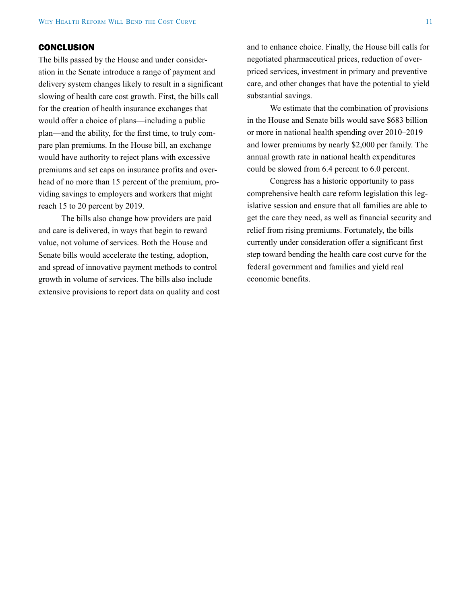# **CONCLUSION**

The bills passed by the House and under consideration in the Senate introduce a range of payment and delivery system changes likely to result in a significant slowing of health care cost growth. First, the bills call for the creation of health insurance exchanges that would offer a choice of plans—including a public plan—and the ability, for the first time, to truly compare plan premiums. In the House bill, an exchange would have authority to reject plans with excessive premiums and set caps on insurance profits and overhead of no more than 15 percent of the premium, providing savings to employers and workers that might reach 15 to 20 percent by 2019.

The bills also change how providers are paid and care is delivered, in ways that begin to reward value, not volume of services. Both the House and Senate bills would accelerate the testing, adoption, and spread of innovative payment methods to control growth in volume of services. The bills also include extensive provisions to report data on quality and cost and to enhance choice. Finally, the House bill calls for negotiated pharmaceutical prices, reduction of overpriced services, investment in primary and preventive care, and other changes that have the potential to yield substantial savings.

We estimate that the combination of provisions in the House and Senate bills would save \$683 billion or more in national health spending over 2010–2019 and lower premiums by nearly \$2,000 per family. The annual growth rate in national health expenditures could be slowed from 6.4 percent to 6.0 percent.

Congress has a historic opportunity to pass comprehensive health care reform legislation this legislative session and ensure that all families are able to get the care they need, as well as financial security and relief from rising premiums. Fortunately, the bills currently under consideration offer a significant first step toward bending the health care cost curve for the federal government and families and yield real economic benefits.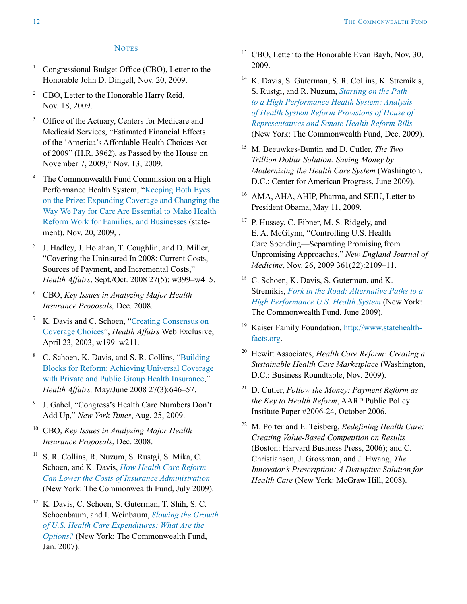#### **NOTES**

- <sup>1</sup> Congressional Budget Office (CBO), Letter to the Honorable John D. Dingell, Nov. 20, 2009.
- <sup>2</sup> CBO, Letter to the Honorable Harry Reid, Nov. 18, 2009.
- <sup>3</sup> Office of the Actuary, Centers for Medicare and Medicaid Services, "Estimated Financial Effects of the 'America's Affordable Health Choices Act of 2009" (H.R. 3962), as Passed by the House on November 7, 2009," Nov. 13, 2009.
- <sup>4</sup> The Commonwealth Fund Commission on a High Performance Health System, ["Keeping Both Eyes](http://commonwealthfund.org/Content/Publications/Other/2009/Keeping-Both-Eyes-on-the-Prize.aspx)  [on the Prize: Expanding Coverage and Changing the](http://commonwealthfund.org/Content/Publications/Other/2009/Keeping-Both-Eyes-on-the-Prize.aspx)  [Way We Pay for Care Are Essential to Make Health](http://commonwealthfund.org/Content/Publications/Other/2009/Keeping-Both-Eyes-on-the-Prize.aspx)  [Reform Work for Families, and Businesses](http://commonwealthfund.org/Content/Publications/Other/2009/Keeping-Both-Eyes-on-the-Prize.aspx) (statement), Nov. 20, 2009, .
- <sup>5</sup> J. Hadley, J. Holahan, T. Coughlin, and D. Miller, "Covering the Uninsured In 2008: Current Costs, Sources of Payment, and Incremental Costs," *Health Affairs*, Sept./Oct. 2008 27(5): w399–w415.
- <sup>6</sup> CBO, *Key Issues in Analyzing Major Health Insurance Proposals,* Dec. 2008.
- <sup>7</sup> K. Davis and C. Schoen, ["Creating Consensus on](http://www.commonwealthfund.org/Content/Publications/In-the-Literature/2003/Apr/Creating-Consensus-on-Coverage-Choices.aspx)  [Coverage Choices"](http://www.commonwealthfund.org/Content/Publications/In-the-Literature/2003/Apr/Creating-Consensus-on-Coverage-Choices.aspx), *Health Affairs* Web Exclusive, April 23, 2003, w199–w211.
- <sup>8</sup> C. Schoen, K. Davis, and S. R. Collins, "[Building](http://www.commonwealthfund.org/Content/Publications/In-the-Literature/2008/May/Building-Blocks-for-Reform--Achieving-Universal-Coverage-with-Private-and-Public-Group-Health-Insura.aspx)  [Blocks for Reform: Achieving Universal Coverage](http://www.commonwealthfund.org/Content/Publications/In-the-Literature/2008/May/Building-Blocks-for-Reform--Achieving-Universal-Coverage-with-Private-and-Public-Group-Health-Insura.aspx)  [with Private and Public Group Health Insurance,](http://www.commonwealthfund.org/Content/Publications/In-the-Literature/2008/May/Building-Blocks-for-Reform--Achieving-Universal-Coverage-with-Private-and-Public-Group-Health-Insura.aspx)" *Health Affairs,* May/June 2008 27(3):646–57.
- <sup>9</sup> J. Gabel, "Congress's Health Care Numbers Don't Add Up," *New York Times*, Aug. 25, 2009.
- <sup>10</sup> CBO, *Key Issues in Analyzing Major Health Insurance Proposals*, Dec. 2008.
- $11$  S. R. Collins, R. Nuzum, S. Rustgi, S. Mika, C. Schoen, and K. Davis, *[How Health Care Reform](http://www.commonwealthfund.org/Content/Publications/Issue-Briefs/2009/Jul/How-Health-Care-Reform-Can-Lower-the-Costs-of-Insurance-Administration.aspx)  [Can Lower the Costs of Insurance Administration](http://www.commonwealthfund.org/Content/Publications/Issue-Briefs/2009/Jul/How-Health-Care-Reform-Can-Lower-the-Costs-of-Insurance-Administration.aspx)* (New York: The Commonwealth Fund, July 2009).
- <sup>12</sup> K. Davis, C. Schoen, S. Guterman, T. Shih, S. C. Schoenbaum, and I. Weinbaum, *[Slowing the Growth](http://www.commonwealthfund.org/Content/Publications/Fund-Reports/2007/Jan/Slowing-the-Growth-of-U-S--Health-Care-Expenditures--What-Are-the-Options.aspx)  [of U.S. Health Care Expenditures: What Are the](http://www.commonwealthfund.org/Content/Publications/Fund-Reports/2007/Jan/Slowing-the-Growth-of-U-S--Health-Care-Expenditures--What-Are-the-Options.aspx)  [Options?](http://www.commonwealthfund.org/Content/Publications/Fund-Reports/2007/Jan/Slowing-the-Growth-of-U-S--Health-Care-Expenditures--What-Are-the-Options.aspx)* (New York: The Commonwealth Fund, Jan. 2007).
- <sup>13</sup> CBO, Letter to the Honorable Evan Bayh, Nov. 30, 2009.
- <sup>14</sup> K. Davis, S. Guterman, S. R. Collins, K. Stremikis, S. Rustgi, and R. Nuzum, *[Starting on the Path](http://www.commonwealthfund.org/Content/Publications/Fund-Reports/2009/Nov/Starting-on-the-Path-to-a-High-Performance-Health-System.aspx)  [to a High Performance Health System: Analysis](http://www.commonwealthfund.org/Content/Publications/Fund-Reports/2009/Nov/Starting-on-the-Path-to-a-High-Performance-Health-System.aspx)  [of Health System Reform Provisions of House of](http://www.commonwealthfund.org/Content/Publications/Fund-Reports/2009/Nov/Starting-on-the-Path-to-a-High-Performance-Health-System.aspx)  [Representatives and Senate Health Reform Bills](http://www.commonwealthfund.org/Content/Publications/Fund-Reports/2009/Nov/Starting-on-the-Path-to-a-High-Performance-Health-System.aspx)* (New York: The Commonwealth Fund, Dec. 2009).
- <sup>15</sup> M. Beeuwkes-Buntin and D. Cutler, *The Two Trillion Dollar Solution: Saving Money by Modernizing the Health Care System* (Washington, D.C.: Center for American Progress, June 2009).
- <sup>16</sup> AMA, AHA, AHIP, Pharma, and SEIU, Letter to President Obama, May 11, 2009.
- <sup>17</sup> P. Hussey, C. Eibner, M. S. Ridgely, and E. A. McGlynn, "Controlling U.S. Health Care Spending—Separating Promising from Unpromising Approaches," *New England Journal of Medicine*, Nov. 26, 2009 361(22):2109–11.
- <sup>18</sup> C. Schoen, K. Davis, S. Guterman, and K. Stremikis, *[Fork in the Road: Alternative Paths to a](http://www.commonwealthfund.org/Content/Publications/Fund-Reports/2009/Jun/Fork-in-the-Road.aspx)  [High Performance U.S. Health System](http://www.commonwealthfund.org/Content/Publications/Fund-Reports/2009/Jun/Fork-in-the-Road.aspx)* (New York: The Commonwealth Fund, June 2009).
- <sup>19</sup> Kaiser Family Foundation, [http://www.statehealth](http://www.statehealthfacts.org)[facts.org.](http://www.statehealthfacts.org)
- <sup>20</sup> Hewitt Associates, *Health Care Reform: Creating a Sustainable Health Care Marketplace* (Washington, D.C.: Business Roundtable, Nov. 2009).
- <sup>21</sup> D. Cutler, *Follow the Money: Payment Reform as the Key to Health Reform*, AARP Public Policy Institute Paper #2006-24, October 2006.
- <sup>22</sup> M. Porter and E. Teisberg, *Redefining Health Care: Creating Value-Based Competition on Results* (Boston: Harvard Business Press, 2006); and C. Christianson, J. Grossman, and J. Hwang, *The Innovator's Prescription: A Disruptive Solution for Health Care* (New York: McGraw Hill, 2008).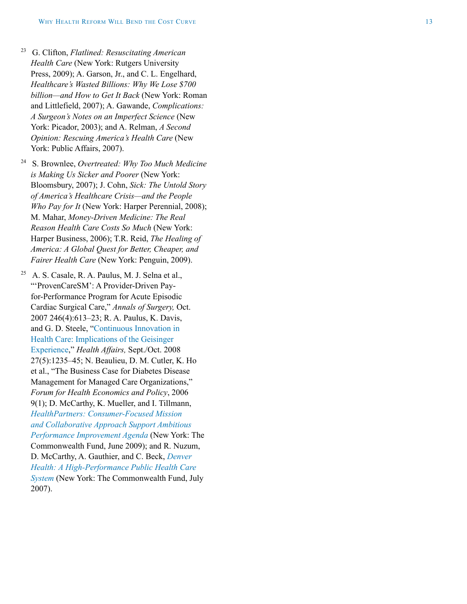- <sup>23</sup> G. Clifton, *Flatlined: Resuscitating American Health Care* (New York: Rutgers University Press, 2009); A. Garson, Jr., and C. L. Engelhard, *Healthcare's Wasted Billions: Why We Lose \$700 billion—and How to Get It Back* (New York: Roman and Littlefield, 2007); A. Gawande, *Complications: A Surgeon's Notes on an Imperfect Science* (New York: Picador, 2003); and A. Relman, *A Second Opinion: Rescuing America's Health Care* (New York: Public Affairs, 2007).
- <sup>24</sup> S. Brownlee, *Overtreated: Why Too Much Medicine is Making Us Sicker and Poorer* (New York: Bloomsbury, 2007); J. Cohn, *Sick: The Untold Story of America's Healthcare Crisis—and the People Who Pay for It* (New York: Harper Perennial, 2008); M. Mahar, *Money-Driven Medicine: The Real Reason Health Care Costs So Much* (New York: Harper Business, 2006); T.R. Reid, *The Healing of America: A Global Quest for Better, Cheaper, and Fairer Health Care* (New York: Penguin, 2009).
- <sup>25</sup> A. S. Casale, R. A. Paulus, M. J. Selna et al., "'ProvenCareSM': A Provider-Driven Payfor-Performance Program for Acute Episodic Cardiac Surgical Care," *Annals of Surgery,* Oct. 2007 246(4):613–23; R. A. Paulus, K. Davis, and G. D. Steele, ["Continuous Innovation in](http://www.commonwealthfund.org/Content/Publications/In-the-Literature/2008/Sep/Continuous-Innovation-in-Health-Care--Implications-of-the-Geisinger-Experience.aspx)  [Health Care: Implications of the Geisinger](http://www.commonwealthfund.org/Content/Publications/In-the-Literature/2008/Sep/Continuous-Innovation-in-Health-Care--Implications-of-the-Geisinger-Experience.aspx)  [Experienc](http://www.commonwealthfund.org/Content/Publications/In-the-Literature/2008/Sep/Continuous-Innovation-in-Health-Care--Implications-of-the-Geisinger-Experience.aspx) e," *Health Affairs,* Sept./Oct. 2008 27(5):1235–45; N. Beaulieu, D. M. Cutler, K. Ho et al., "The Business Case for Diabetes Disease Management for Managed Care Organizations," *Forum for Health Economics and Policy*, 2006 9(1); D. McCarthy, K. Mueller, and I. Tillmann, *[HealthPartners: Consumer-Focused Mission](http://www.commonwealthfund.org/Content/Publications/Case-Studies/2009/Jun/HealthPartners-Consumer-Focused-Mission.aspx)  [and Collaborative Approach Support Ambitious](http://www.commonwealthfund.org/Content/Publications/Case-Studies/2009/Jun/HealthPartners-Consumer-Focused-Mission.aspx)  [Performance Improvement Agenda](http://www.commonwealthfund.org/Content/Publications/Case-Studies/2009/Jun/HealthPartners-Consumer-Focused-Mission.aspx)* (New York: The Commonwealth Fund, June 2009); and R. Nuzum, D. McCarthy, A. Gauthier, and C. Beck, *[Denver](http://www.commonwealthfund.org/Content/Publications/Fund-Reports/2007/Jul/Denver-Health--A-High-Performance-Public-Health-Care-System.aspx)  [Health: A High-Performance Public Health Care](http://www.commonwealthfund.org/Content/Publications/Fund-Reports/2007/Jul/Denver-Health--A-High-Performance-Public-Health-Care-System.aspx)  [Syste](http://www.commonwealthfund.org/Content/Publications/Fund-Reports/2007/Jul/Denver-Health--A-High-Performance-Public-Health-Care-System.aspx) m* (New York: The Commonwealth Fund, July 2007).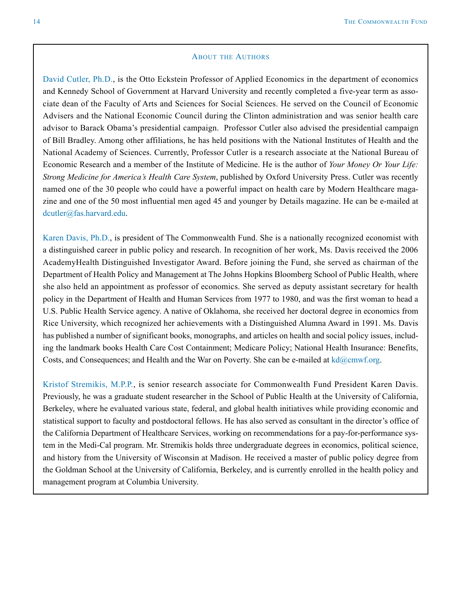#### ABOUT THE AUTHORS

David Cutler, Ph.D., is the Otto Eckstein Professor of Applied Economics in the department of economics and Kennedy School of Government at Harvard University and recently completed a five-year term as associate dean of the Faculty of Arts and Sciences for Social Sciences. He served on the Council of Economic Advisers and the National Economic Council during the Clinton administration and was senior health care advisor to Barack Obama's presidential campaign. Professor Cutler also advised the presidential campaign of Bill Bradley. Among other affiliations, he has held positions with the National Institutes of Health and the National Academy of Sciences. Currently, Professor Cutler is a research associate at the National Bureau of Economic Research and a member of the Institute of Medicine. He is the author of *Your Money Or Your Life: Strong Medicine for America's Health Care System*, published by Oxford University Press. Cutler was recently named one of the 30 people who could have a powerful impact on health care by Modern Healthcare magazine and one of the 50 most influential men aged 45 and younger by Details magazine. He can be e-mailed at [dcutler@fas.harvard.edu.](mailto:dcutler@fas.harvard.edu)

Karen Davis, Ph.D., is president of The Commonwealth Fund. She is a nationally recognized economist with a distinguished career in public policy and research. In recognition of her work, Ms. Davis received the 2006 AcademyHealth Distinguished Investigator Award. Before joining the Fund, she served as chairman of the Department of Health Policy and Management at The Johns Hopkins Bloomberg School of Public Health, where she also held an appointment as professor of economics. She served as deputy assistant secretary for health policy in the Department of Health and Human Services from 1977 to 1980, and was the first woman to head a U.S. Public Health Service agency. A native of Oklahoma, she received her doctoral degree in economics from Rice University, which recognized her achievements with a Distinguished Alumna Award in 1991. Ms. Davis has published a number of significant books, monographs, and articles on health and social policy issues, including the landmark books Health Care Cost Containment; Medicare Policy; National Health Insurance: Benefits, Costs, and Consequences; and Health and the War on Poverty. She can be e-mailed at  $\text{kd}\textcircled{a}$ cmwf.org.

Kristof Stremikis, M.P.P., is senior research associate for Commonwealth Fund President Karen Davis. Previously, he was a graduate student researcher in the School of Public Health at the University of California, Berkeley, where he evaluated various state, federal, and global health initiatives while providing economic and statistical support to faculty and postdoctoral fellows. He has also served as consultant in the director's office of the California Department of Healthcare Services, working on recommendations for a pay-for-performance system in the Medi-Cal program. Mr. Stremikis holds three undergraduate degrees in economics, political science, and history from the University of Wisconsin at Madison. He received a master of public policy degree from the Goldman School at the University of California, Berkeley, and is currently enrolled in the health policy and management program at Columbia University.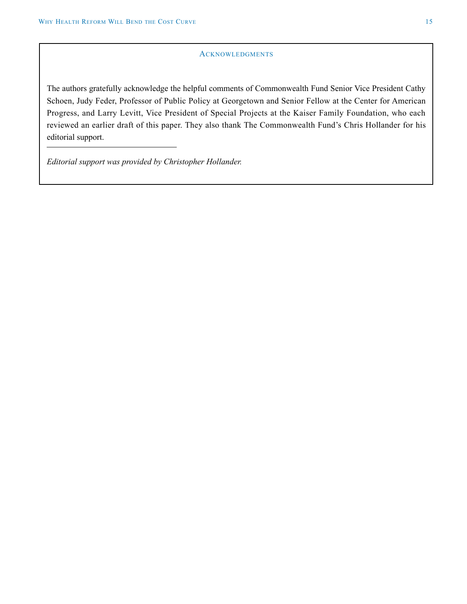#### **ACKNOWLEDGMENTS**

The authors gratefully acknowledge the helpful comments of Commonwealth Fund Senior Vice President Cathy Schoen, Judy Feder, Professor of Public Policy at Georgetown and Senior Fellow at the Center for American Progress, and Larry Levitt, Vice President of Special Projects at the Kaiser Family Foundation, who each reviewed an earlier draft of this paper. They also thank The Commonwealth Fund's Chris Hollander for his editorial support.

*Editorial support was provided by Christopher Hollander.*